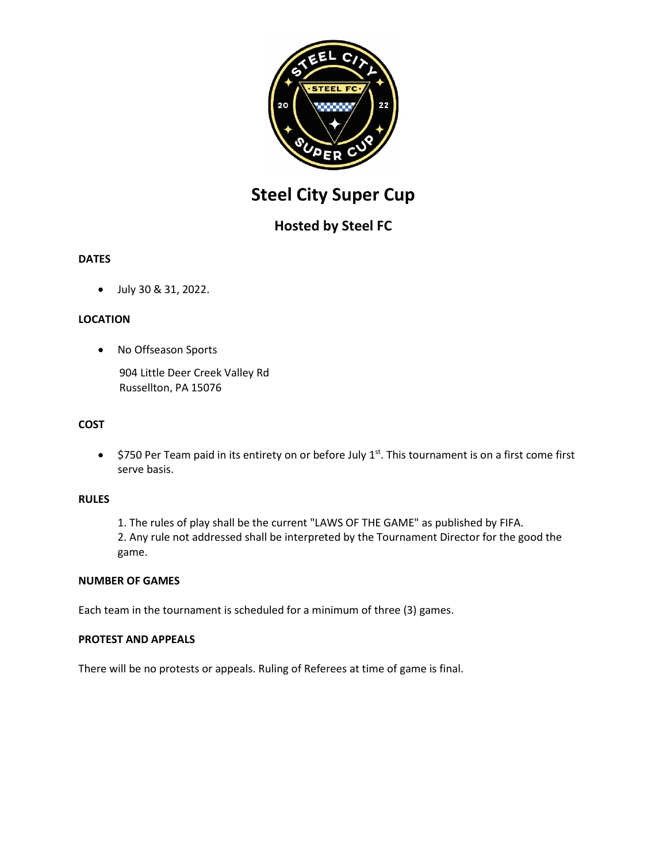

# **Steel City Super Cup**

# **Hosted by Steel FC**

# **DATES**

• July 30 & 31, 2022.

# **LOCATION**

• No Offseason Sports

904 Little Deer Creek Valley Rd Russellton, PA 15076

### **COST**

•  $$750$  Per Team paid in its entirety on or before July 1<sup>st</sup>. This tournament is on a first come first serve basis.

#### **RULES**

1. The rules of play shall be the current "LAWS OF THE GAME" as published by FIFA. 2. Any rule not addressed shall be interpreted by the Tournament Director for the good the game.

#### **NUMBER OF GAMES**

Each team in the tournament is scheduled for a minimum of three (3) games.

#### **PROTEST AND APPEALS**

There will be no protests or appeals. Ruling of Referees at time of game is final.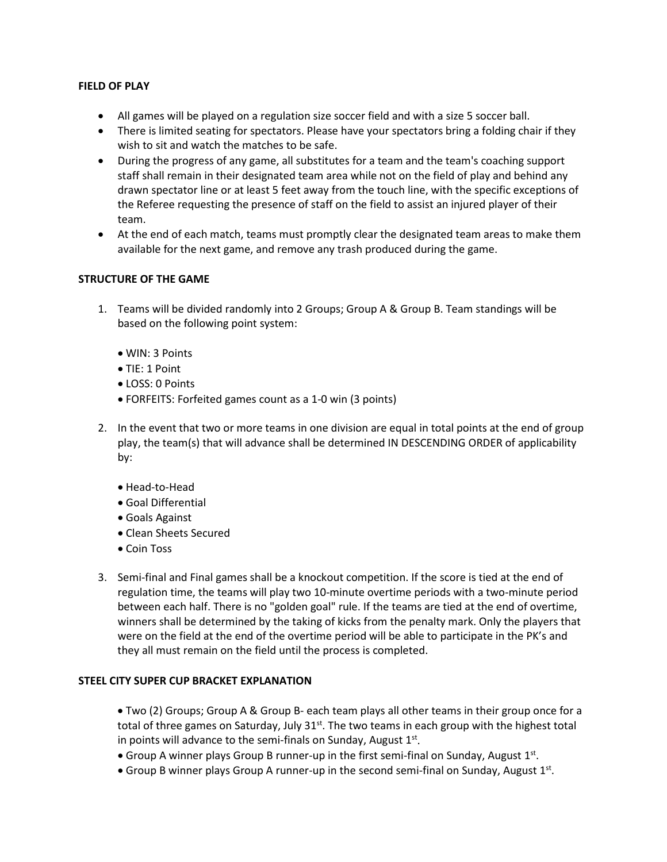#### **FIELD OF PLAY**

- All games will be played on a regulation size soccer field and with a size 5 soccer ball.
- There is limited seating for spectators. Please have your spectators bring a folding chair if they wish to sit and watch the matches to be safe.
- During the progress of any game, all substitutes for a team and the team's coaching support staff shall remain in their designated team area while not on the field of play and behind any drawn spectator line or at least 5 feet away from the touch line, with the specific exceptions of the Referee requesting the presence of staff on the field to assist an injured player of their team.
- At the end of each match, teams must promptly clear the designated team areas to make them available for the next game, and remove any trash produced during the game.

#### **STRUCTURE OF THE GAME**

- 1. Teams will be divided randomly into 2 Groups; Group A & Group B. Team standings will be based on the following point system:
	- WIN: 3 Points
	- TIE: 1 Point
	- LOSS: 0 Points
	- FORFEITS: Forfeited games count as a 1-0 win (3 points)
- 2. In the event that two or more teams in one division are equal in total points at the end of group play, the team(s) that will advance shall be determined IN DESCENDING ORDER of applicability by:
	- Head-to-Head
	- Goal Differential
	- Goals Against
	- Clean Sheets Secured
	- Coin Toss
- 3. Semi-final and Final games shall be a knockout competition. If the score is tied at the end of regulation time, the teams will play two 10-minute overtime periods with a two-minute period between each half. There is no "golden goal" rule. If the teams are tied at the end of overtime, winners shall be determined by the taking of kicks from the penalty mark. Only the players that were on the field at the end of the overtime period will be able to participate in the PK's and they all must remain on the field until the process is completed.

#### **STEEL CITY SUPER CUP BRACKET EXPLANATION**

• Two (2) Groups; Group A & Group B- each team plays all other teams in their group once for a total of three games on Saturday, July  $31^{st}$ . The two teams in each group with the highest total in points will advance to the semi-finals on Sunday, August  $1<sup>st</sup>$ .

- Group A winner plays Group B runner-up in the first semi-final on Sunday, August  $1^{st}$ .
- Group B winner plays Group A runner-up in the second semi-final on Sunday, August 1st.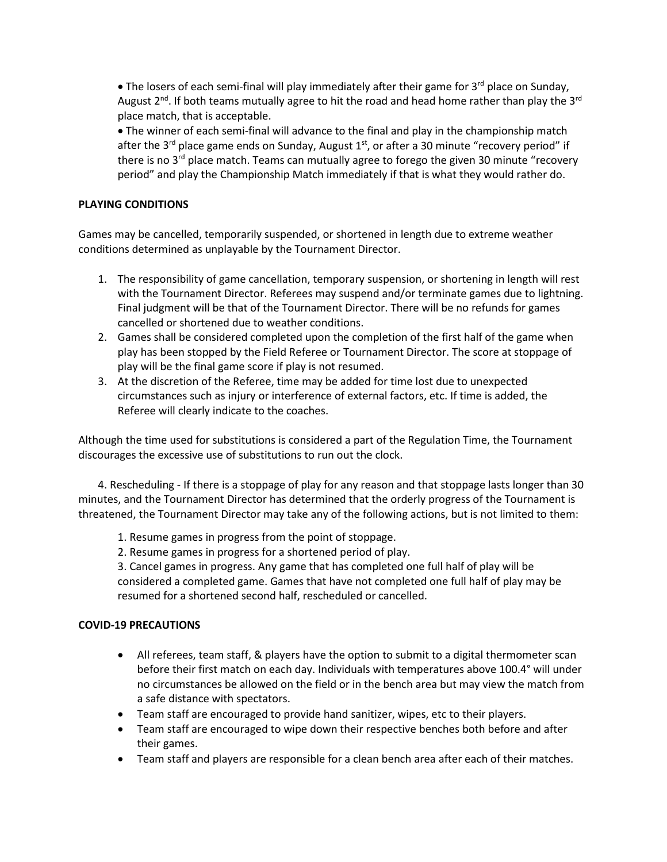• The losers of each semi-final will play immediately after their game for  $3^{rd}$  place on Sunday, August  $2^{nd}$ . If both teams mutually agree to hit the road and head home rather than play the  $3^{rd}$ place match, that is acceptable.

• The winner of each semi-final will advance to the final and play in the championship match after the 3<sup>rd</sup> place game ends on Sunday, August  $1<sup>st</sup>$ , or after a 30 minute "recovery period" if there is no  $3<sup>rd</sup>$  place match. Teams can mutually agree to forego the given 30 minute "recovery period" and play the Championship Match immediately if that is what they would rather do.

#### **PLAYING CONDITIONS**

Games may be cancelled, temporarily suspended, or shortened in length due to extreme weather conditions determined as unplayable by the Tournament Director.

- 1. The responsibility of game cancellation, temporary suspension, or shortening in length will rest with the Tournament Director. Referees may suspend and/or terminate games due to lightning. Final judgment will be that of the Tournament Director. There will be no refunds for games cancelled or shortened due to weather conditions.
- 2. Games shall be considered completed upon the completion of the first half of the game when play has been stopped by the Field Referee or Tournament Director. The score at stoppage of play will be the final game score if play is not resumed.
- 3. At the discretion of the Referee, time may be added for time lost due to unexpected circumstances such as injury or interference of external factors, etc. If time is added, the Referee will clearly indicate to the coaches.

Although the time used for substitutions is considered a part of the Regulation Time, the Tournament discourages the excessive use of substitutions to run out the clock.

4. Rescheduling - If there is a stoppage of play for any reason and that stoppage lasts longer than 30 minutes, and the Tournament Director has determined that the orderly progress of the Tournament is threatened, the Tournament Director may take any of the following actions, but is not limited to them:

- 1. Resume games in progress from the point of stoppage.
- 2. Resume games in progress for a shortened period of play.

3. Cancel games in progress. Any game that has completed one full half of play will be considered a completed game. Games that have not completed one full half of play may be resumed for a shortened second half, rescheduled or cancelled.

#### **COVID-19 PRECAUTIONS**

- All referees, team staff, & players have the option to submit to a digital thermometer scan before their first match on each day. Individuals with temperatures above 100.4° will under no circumstances be allowed on the field or in the bench area but may view the match from a safe distance with spectators.
- Team staff are encouraged to provide hand sanitizer, wipes, etc to their players.
- Team staff are encouraged to wipe down their respective benches both before and after their games.
- Team staff and players are responsible for a clean bench area after each of their matches.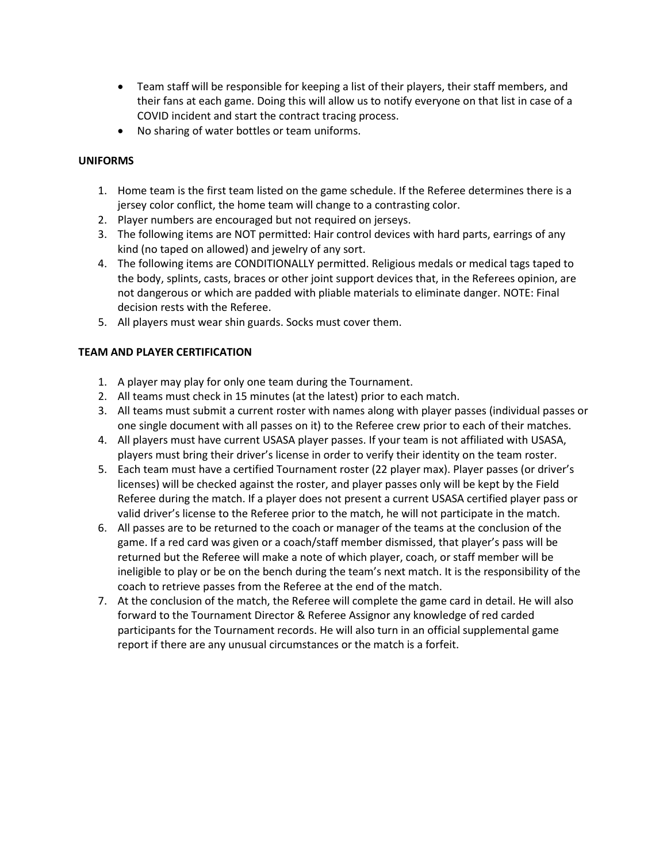- Team staff will be responsible for keeping a list of their players, their staff members, and their fans at each game. Doing this will allow us to notify everyone on that list in case of a COVID incident and start the contract tracing process.
- No sharing of water bottles or team uniforms.

# **UNIFORMS**

- 1. Home team is the first team listed on the game schedule. If the Referee determines there is a jersey color conflict, the home team will change to a contrasting color.
- 2. Player numbers are encouraged but not required on jerseys.
- 3. The following items are NOT permitted: Hair control devices with hard parts, earrings of any kind (no taped on allowed) and jewelry of any sort.
- 4. The following items are CONDITIONALLY permitted. Religious medals or medical tags taped to the body, splints, casts, braces or other joint support devices that, in the Referees opinion, are not dangerous or which are padded with pliable materials to eliminate danger. NOTE: Final decision rests with the Referee.
- 5. All players must wear shin guards. Socks must cover them.

#### **TEAM AND PLAYER CERTIFICATION**

- 1. A player may play for only one team during the Tournament.
- 2. All teams must check in 15 minutes (at the latest) prior to each match.
- 3. All teams must submit a current roster with names along with player passes (individual passes or one single document with all passes on it) to the Referee crew prior to each of their matches.
- 4. All players must have current USASA player passes. If your team is not affiliated with USASA, players must bring their driver's license in order to verify their identity on the team roster.
- 5. Each team must have a certified Tournament roster (22 player max). Player passes (or driver's licenses) will be checked against the roster, and player passes only will be kept by the Field Referee during the match. If a player does not present a current USASA certified player pass or valid driver's license to the Referee prior to the match, he will not participate in the match.
- 6. All passes are to be returned to the coach or manager of the teams at the conclusion of the game. If a red card was given or a coach/staff member dismissed, that player's pass will be returned but the Referee will make a note of which player, coach, or staff member will be ineligible to play or be on the bench during the team's next match. It is the responsibility of the coach to retrieve passes from the Referee at the end of the match.
- 7. At the conclusion of the match, the Referee will complete the game card in detail. He will also forward to the Tournament Director & Referee Assignor any knowledge of red carded participants for the Tournament records. He will also turn in an official supplemental game report if there are any unusual circumstances or the match is a forfeit.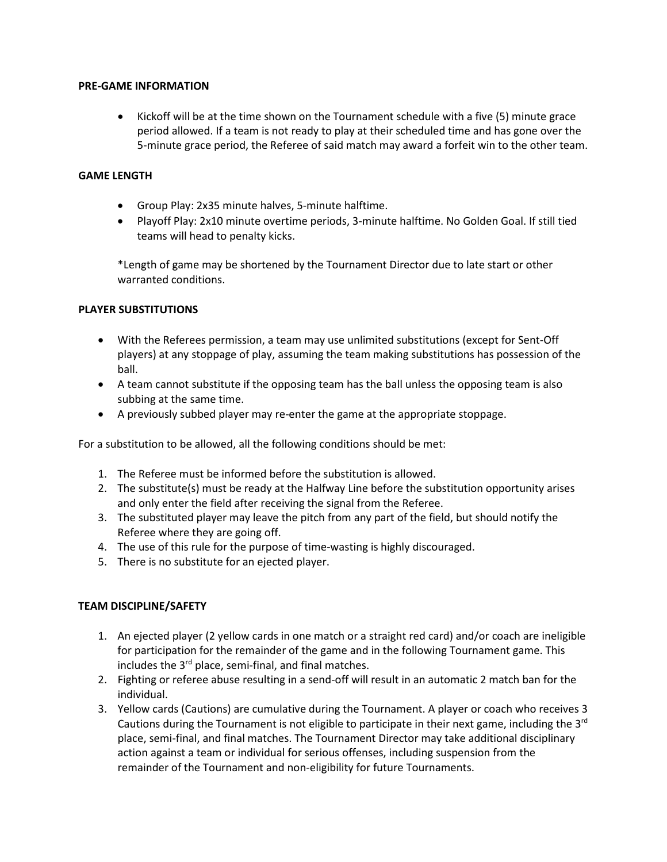#### **PRE-GAME INFORMATION**

• Kickoff will be at the time shown on the Tournament schedule with a five (5) minute grace period allowed. If a team is not ready to play at their scheduled time and has gone over the 5-minute grace period, the Referee of said match may award a forfeit win to the other team.

#### **GAME LENGTH**

- Group Play: 2x35 minute halves, 5-minute halftime.
- Playoff Play: 2x10 minute overtime periods, 3-minute halftime. No Golden Goal. If still tied teams will head to penalty kicks.

\*Length of game may be shortened by the Tournament Director due to late start or other warranted conditions.

#### **PLAYER SUBSTITUTIONS**

- With the Referees permission, a team may use unlimited substitutions (except for Sent-Off players) at any stoppage of play, assuming the team making substitutions has possession of the ball.
- A team cannot substitute if the opposing team has the ball unless the opposing team is also subbing at the same time.
- A previously subbed player may re-enter the game at the appropriate stoppage.

For a substitution to be allowed, all the following conditions should be met:

- 1. The Referee must be informed before the substitution is allowed.
- 2. The substitute(s) must be ready at the Halfway Line before the substitution opportunity arises and only enter the field after receiving the signal from the Referee.
- 3. The substituted player may leave the pitch from any part of the field, but should notify the Referee where they are going off.
- 4. The use of this rule for the purpose of time-wasting is highly discouraged.
- 5. There is no substitute for an ejected player.

#### **TEAM DISCIPLINE/SAFETY**

- 1. An ejected player (2 yellow cards in one match or a straight red card) and/or coach are ineligible for participation for the remainder of the game and in the following Tournament game. This includes the 3<sup>rd</sup> place, semi-final, and final matches.
- 2. Fighting or referee abuse resulting in a send-off will result in an automatic 2 match ban for the individual.
- 3. Yellow cards (Cautions) are cumulative during the Tournament. A player or coach who receives 3 Cautions during the Tournament is not eligible to participate in their next game, including the  $3^{rd}$ place, semi-final, and final matches. The Tournament Director may take additional disciplinary action against a team or individual for serious offenses, including suspension from the remainder of the Tournament and non-eligibility for future Tournaments.